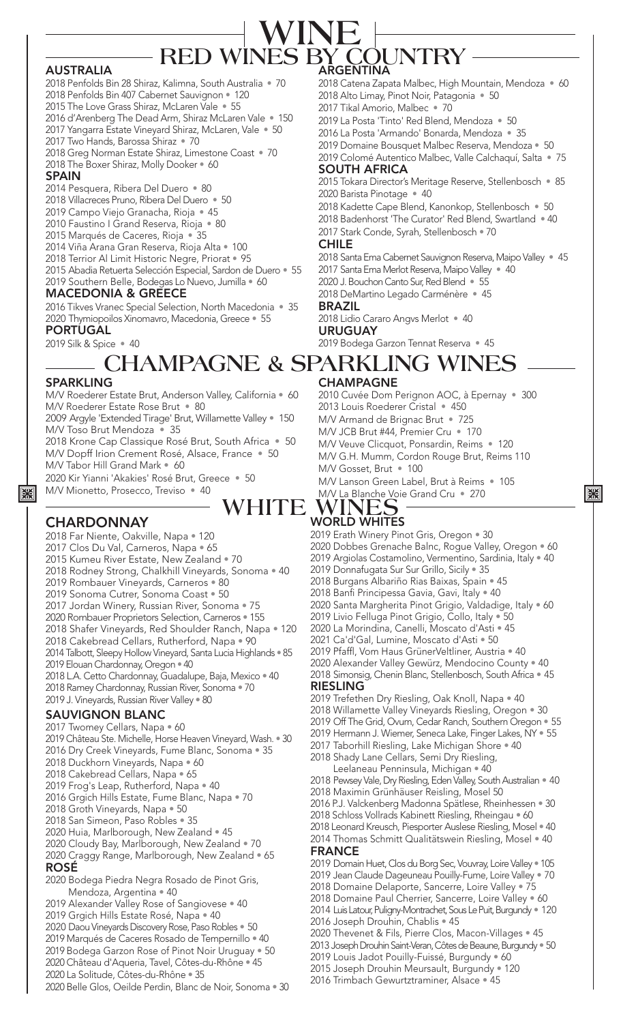# BY COUNTRY<br>argentina **RED WIN WINE**

#### AUSTRALIA

- 2018 Penfolds Bin 28 Shiraz, Kalimna, South Australia 70
- 2018 Penfolds Bin 407 Cabernet Sauvignon 120
- 2015 The Love Grass Shiraz, McLaren Vale 55
- 2016 d'Arenberg The Dead Arm, Shiraz McLaren Vale 150
- 2017 Yangarra Estate Vineyard Shiraz, McLaren, Vale 50
- 2017 Two Hands, Barossa Shiraz 70
- 2018 Greg Norman Estate Shiraz, Limestone Coast 70 2018 The Boxer Shiraz, Molly Dooker • 60

#### SPAIN

- 2014 Pesquera, Ribera Del Duero 80
- 2018 Villacreces Pruno, Ribera Del Duero 50
- 2019 Campo Viejo Granacha, Rioja 45
- 2010 Faustino I Grand Reserva, Rioja 80
- 2015 Marqués de Caceres, Rioja 35
- 2014 Viña Arana Gran Reserva, Rioja Alta 100
- 2018 Terrior Al Limit Historic Negre, Priorat 95
- 2015 Abadia Retuerta Selección Especial, Sardon de Duero 55 2019 Southern Belle, Bodegas Lo Nuevo, Jumilla • 60

#### MACEDONIA & GREECE

2016 Tikves Vranec Special Selection, North Macedonia • 35 2020 Thymiopoilos Xinomavro, Macedonia, Greece • 55 PORTUGAL

2019 Silk & Spice • 40

- 2018 Catena Zapata Malbec, High Mountain, Mendoza 60 2018 Alto Limay, Pinot Noir, Patagonia • 50 2017 Tikal Amorio, Malbec • 70 2019 La Posta 'Tinto' Red Blend, Mendoza • 50 2016 La Posta 'Armando' Bonarda, Mendoza • 35 2019 Domaine Bousquet Malbec Reserva, Mendoza • 50 2019 Colomé Autentico Malbec, Valle Calchaquí, Salta • 75 SOUTH AFRICA 2015 Tokara Director's Meritage Reserve, Stellenbosch • 85 2020 Barista Pinotage • 40 2018 Kadette Cape Blend, Kanonkop, Stellenbosch • 50 2018 Badenhorst 'The Curator' Red Blend, Swartland • 40 2017 Stark Conde, Syrah, Stellenbosch • 70 CHILE 2018 Santa Ema Cabernet Sauvignon Reserva, Maipo Valley · 45 2017 Santa Ema Merlot Reserva, Maipo Valley • 40 2020 J. Bouchon Canto Sur, Red Blend • 55 2018 DeMartino Legado Carménère • 45 BRAZIL 2018 Lidio Cararo Angvs Merlot • 40
	- URUGUAY 2019 Bodega Garzon Tennat Reserva • 45

# CHAMPAGNE **CHAMPAGNE & SPARKLING WINES**

#### SPARKLING

| ※

M/V Roederer Estate Brut, Anderson Valley, California • 60 M/V Roederer Estate Rose Brut • 80 2009 Argyle 'Extended Tirage' Brut, Willamette Valley • 150 M/V Toso Brut Mendoza • 35

2018 Krone Cap Classique Rosé Brut, South Africa • 50 M/V Dopff Irion Crement Rosé, Alsace, France • 50 M/V Tabor Hill Grand Mark • 60

2020 Kir Yianni 'Akakies' Rosé Brut, Greece • 50 M/V Mionetto, Prosecco, Treviso • 40

# **WHITE WINES**

# **CHARDONNAY**

- 2018 Far Niente, Oakville, Napa 120
- 2017 Clos Du Val, Carneros, Napa 65
- 2015 Kumeu River Estate, New Zealand 70
- 2018 Rodney Strong, Chalkhill Vineyards, Sonoma 40
- 2019 Rombauer Vineyards, Carneros 80
- 2019 Sonoma Cutrer, Sonoma Coast 50 2017 Jordan Winery, Russian River, Sonoma • 75
- 2020 Rombauer Proprietors Selection, Carneros 155
- 
- 2018 Shafer Vineyards, Red Shoulder Ranch, Napa 120 2018 Cakebread Cellars, Rutherford, Napa • 90
- 2014 Talbott, Sleepy Hollow Vineyard, Santa Lucia Highlands 85
- 2019 Elouan Chardonnay, Oregon 40
- 2018 L.A. Cetto Chardonnay, Guadalupe, Baja, Mexico 40
- 2018 Ramey Chardonnay, Russian River, Sonoma 70
- 2019 J. Vineyards, Russian River Valley 80

#### SAUVIGNON BLANC

- 2017 Twomey Cellars, Napa 60
- 2019 Château Ste. Michelle, Horse Heaven Vineyard, Wash. 30
- 2016 Dry Creek Vineyards, Fume Blanc, Sonoma 35
- 2018 Duckhorn Vineyards, Napa 60
- 2018 Cakebread Cellars, Napa 65
- 2019 Frog's Leap, Rutherford, Napa 40
- 2016 Grgich Hills Estate, Fume Blanc, Napa 70 2018 Groth Vineyards, Napa • 50
- 2018 San Simeon, Paso Robles 35
- 2020 Huia, Marlborough, New Zealand 45
- 2020 Cloudy Bay, Marlborough, New Zealand 70
- 2020 Craggy Range, Marlborough, New Zealand 65 ROSÉ
- 2020 Bodega Piedra Negra Rosado de Pinot Gris, Mendoza, Argentina • 40
- 2019 Alexander Valley Rose of Sangiovese 40
- 2019 Grgich Hills Estate Rosé, Napa 40
- 2020 Daou Vineyards Discovery Rose, Paso Robles 50
- 2019 Marqués de Caceres Rosado de Tempernillo 40
- 2019 Bodega Garzon Rose of Pinot Noir Uruguay 50
- 2020 Château d'Aqueria, Tavel, Côtes-du-Rhône 45
- 2020 La Solitude, Côtes-du-Rhône 35
- 2020 Belle Glos, Oeilde Perdin, Blanc de Noir, Sonoma 30

#### 2010 Cuvée Dom Perignon AOC, à Epernay • 300

2013 Louis Roederer Cristal • 450 M/V Armand de Brignac Brut • 725 M/V JCB Brut #44, Premier Cru • 170 M/V Veuve Clicquot, Ponsardin, Reims • 120 M/V G.H. Mumm, Cordon Rouge Brut, Reims 110 M/V Gosset, Brut · 100 M/V Lanson Green Label, Brut à Reims • 105 M/V La Blanche Voie Grand Cru • 270

# WORLD WHITES

- 2019 Erath Winery Pinot Gris, Oregon 30
- 2020 Dobbes Grenache Balnc, Rogue Valley, Oregon 60 2019 Argiolas Costamolino, Vermentino, Sardinia, Italy • 40

黑

- 2019 Donnafugata Sur Sur Grillo, Sicily 35
- 2018 Burgans Albariño Rias Baixas, Spain 45
- 2018 Banfi Principessa Gavia, Gavi, Italy 40
- 2020 Santa Margherita Pinot Grigio, Valdadige, Italy 60
- 2019 Livio Felluga Pinot Grigio, Collo, Italy 50
- 2020 La Morindina, Canelli, Moscato d'Asti 45
- 2021 Ca'd'Gal, Lumine, Moscato d'Asti 50
- 2019 Pfaffl, Vom Haus GrünerVeltliner, Austria 40
- 2020 Alexander Valley Gewürz, Mendocino County 40
- 2018 Simonsig, Chenin Blanc, Stellenbosch, South Africa 45

#### RIESLING

- 2019 Trefethen Dry Riesling, Oak Knoll, Napa 40
- 2018 Willamette Valley Vineyards Riesling, Oregon 30
- 2019 Off The Grid, Ovum, Cedar Ranch, Southern Oregon 55
- 2019 Hermann J. Wiemer, Seneca Lake, Finger Lakes, NY 55
- 2017 Taborhill Riesling, Lake Michigan Shore 40 2018 Shady Lane Cellars, Semi Dry Riesling,
- Leelaneau Penninsula, Michigan 40
- 2018 Pewsey Vale, Dry Riesling, Eden Valley, South Australian 40
- 2018 Maximin Grünhäuser Reisling, Mosel 50
- 2016 P.J. Valckenberg Madonna Spätlese, Rheinhessen 30
- 2018 Schloss Vollrads Kabinett Riesling, Rheingau 60
- 2018 Leonard Kreusch, Piesporter Auslese Riesling, Mosel 40
- 2014 Thomas Schmitt Qualitätswein Riesling, Mosel 40 FRANCE
- 2019 Domain Huet, Clos du Borg Sec, Vouvray, Loire Valley 105
- 2019 Jean Claude Dageuneau Pouilly-Fume, Loire Valley 70
- 2018 Domaine Delaporte, Sancerre, Loire Valley 75
- 2018 Domaine Paul Cherrier, Sancerre, Loire Valley 60
- 2014 Luis Latour, Puligny-Montrachet, Sous Le Puit, Burgundy 120

2020 Thevenet & Fils, Pierre Clos, Macon-Villages • 45 2013 Joseph Drouhin Saint-Veran, Côtes de Beaune, Burgundy • 50

2019 Louis Jadot Pouilly-Fuissé, Burgundy • 60 2015 Joseph Drouhin Meursault, Burgundy • 120 2016 Trimbach Gewurtztraminer, Alsace • 45

2016 Joseph Drouhin, Chablis • 45